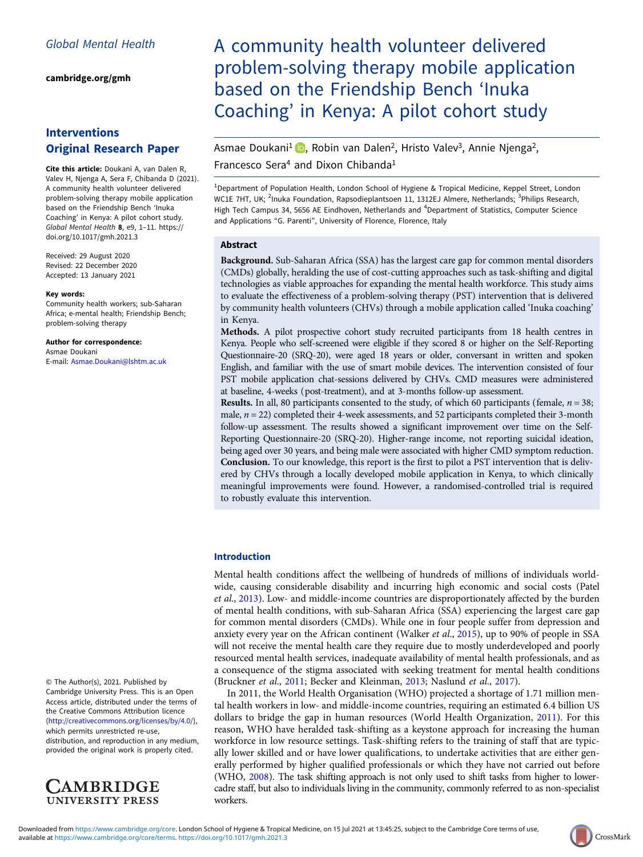[cambridge.org/gmh](https://www.cambridge.org/gmh)

## Interventions Original Research Paper

Cite this article: Doukani A, van Dalen R, Valev H, Njenga A, Sera F, Chibanda D (2021). A community health volunteer delivered problem-solving therapy mobile application based on the Friendship Bench 'Inuka Coaching' in Kenya: A pilot cohort study. Global Mental Health 8, e9, 1–11. [https://](https://doi.org/10.1017/gmh.2021.3) [doi.org/10.1017/gmh.2021.3](https://doi.org/10.1017/gmh.2021.3)

Received: 29 August 2020 Revised: 22 December 2020 Accepted: 13 January 2021

#### Key words:

Community health workers; sub-Saharan Africa; e-mental health; Friendship Bench; problem-solving therapy

Author for correspondence: Asmae Doukani E-mail: [Asmae.Doukani@lshtm.ac.uk](mailto:Asmae.Doukani@lshtm.ac.uk)

© The Author(s), 2021. Published by Cambridge University Press. This is an Open Access article, distributed under the terms of the Creative Commons Attribution licence ([http://creativecommons.org/licenses/by/4.0/\)](http://creativecommons.org/licenses/by/4.0/), which permits unrestricted re-use,

distribution, and reproduction in any medium, provided the original work is properly cited.



# A community health volunteer delivered problem-solving therapy mobile application based on the Friendship Bench 'Inuka Coaching' in Kenya: A pilot cohort study

Asmae Doukani<sup>1</sup> (D[,](https://orcid.org/0000-0001-8629-2953) Robin van Dalen<sup>2</sup>, Hristo Valev<sup>3</sup>, Annie Njenga<sup>2</sup>, Francesco Sera<sup>4</sup> and Dixon Chibanda<sup>1</sup>

<sup>1</sup>Department of Population Health, London School of Hygiene & Tropical Medicine, Keppel Street, London WC1E 7HT, UK; <sup>2</sup>lnuka Foundation, Rapsodieplantsoen 11, 1312EJ Almere, Netherlands; <sup>3</sup>Philips Research, High Tech Campus 34, 5656 AE Eindhoven, Netherlands and <sup>4</sup>Department of Statistics, Computer Science and Applications "G. Parenti", University of Florence, Florence, Italy

#### Abstract

Background. Sub-Saharan Africa (SSA) has the largest care gap for common mental disorders (CMDs) globally, heralding the use of cost-cutting approaches such as task-shifting and digital technologies as viable approaches for expanding the mental health workforce. This study aims to evaluate the effectiveness of a problem-solving therapy (PST) intervention that is delivered by community health volunteers (CHVs) through a mobile application called 'Inuka coaching' in Kenya.

Methods. A pilot prospective cohort study recruited participants from 18 health centres in Kenya. People who self-screened were eligible if they scored 8 or higher on the Self-Reporting Questionnaire-20 (SRQ-20), were aged 18 years or older, conversant in written and spoken English, and familiar with the use of smart mobile devices. The intervention consisted of four PST mobile application chat-sessions delivered by CHVs. CMD measures were administered at baseline, 4-weeks (post-treatment), and at 3-months follow-up assessment.

**Results.** In all, 80 participants consented to the study, of which 60 participants (female,  $n = 38$ ; male,  $n = 22$ ) completed their 4-week assessments, and 52 participants completed their 3-month follow-up assessment. The results showed a significant improvement over time on the Self-Reporting Questionnaire-20 (SRQ-20). Higher-range income, not reporting suicidal ideation, being aged over 30 years, and being male were associated with higher CMD symptom reduction. Conclusion. To our knowledge, this report is the first to pilot a PST intervention that is delivered by CHVs through a locally developed mobile application in Kenya, to which clinically meaningful improvements were found. However, a randomised-controlled trial is required to robustly evaluate this intervention.

#### Introduction

Mental health conditions affect the wellbeing of hundreds of millions of individuals worldwide, causing considerable disability and incurring high economic and social costs (Patel et al., [2013\)](#page-10-0). Low- and middle-income countries are disproportionately affected by the burden of mental health conditions, with sub-Saharan Africa (SSA) experiencing the largest care gap for common mental disorders (CMDs). While one in four people suffer from depression and anxiety every year on the African continent (Walker *et al.*, [2015\)](#page-10-0), up to 90% of people in SSA will not receive the mental health care they require due to mostly underdeveloped and poorly resourced mental health services, inadequate availability of mental health professionals, and as a consequence of the stigma associated with seeking treatment for mental health conditions (Bruckner et al., [2011](#page-9-0); Becker and Kleinman, [2013](#page-9-0); Naslund et al., [2017\)](#page-10-0).

In 2011, the World Health Organisation (WHO) projected a shortage of 1.71 million mental health workers in low- and middle-income countries, requiring an estimated 6.4 billion US dollars to bridge the gap in human resources (World Health Organization, [2011\)](#page-10-0). For this reason, WHO have heralded task-shifting as a keystone approach for increasing the human workforce in low resource settings. Task-shifting refers to the training of staff that are typically lower skilled and or have lower qualifications, to undertake activities that are either generally performed by higher qualified professionals or which they have not carried out before (WHO, [2008](#page-10-0)). The task shifting approach is not only used to shift tasks from higher to lowercadre staff, but also to individuals living in the community, commonly referred to as non-specialist workers.

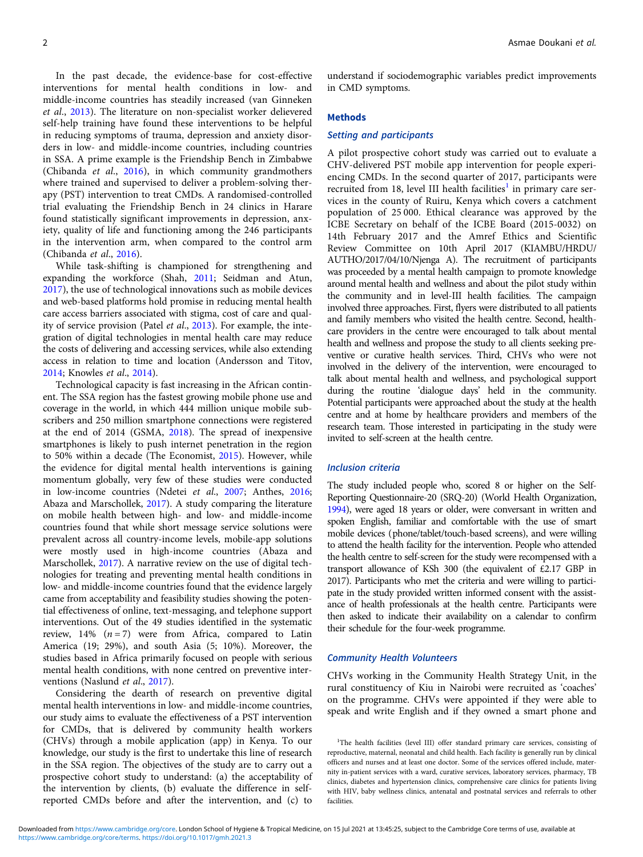In the past decade, the evidence-base for cost-effective interventions for mental health conditions in low- and middle-income countries has steadily increased (van Ginneken et al., [2013\)](#page-10-0). The literature on non-specialist worker delievered self-help training have found these interventions to be helpful in reducing symptoms of trauma, depression and anxiety disorders in low- and middle-income countries, including countries in SSA. A prime example is the Friendship Bench in Zimbabwe (Chibanda et al., [2016](#page-9-0)), in which community grandmothers where trained and supervised to deliver a problem-solving therapy (PST) intervention to treat CMDs. A randomised-controlled trial evaluating the Friendship Bench in 24 clinics in Harare found statistically significant improvements in depression, anxiety, quality of life and functioning among the 246 participants in the intervention arm, when compared to the control arm (Chibanda et al., [2016](#page-9-0)).

While task-shifting is championed for strengthening and expanding the workforce (Shah, [2011](#page-10-0); Seidman and Atun, [2017\)](#page-10-0), the use of technological innovations such as mobile devices and web-based platforms hold promise in reducing mental health care access barriers associated with stigma, cost of care and quality of service provision (Patel *et al.*, [2013](#page-10-0)). For example, the integration of digital technologies in mental health care may reduce the costs of delivering and accessing services, while also extending access in relation to time and location (Andersson and Titov, [2014;](#page-9-0) Knowles et al., [2014\)](#page-10-0).

Technological capacity is fast increasing in the African continent. The SSA region has the fastest growing mobile phone use and coverage in the world, in which 444 million unique mobile subscribers and 250 million smartphone connections were registered at the end of 2014 (GSMA, [2018\)](#page-10-0). The spread of inexpensive smartphones is likely to push internet penetration in the region to 50% within a decade (The Economist, [2015\)](#page-10-0). However, while the evidence for digital mental health interventions is gaining momentum globally, very few of these studies were conducted in low-income countries (Ndetei et al., [2007](#page-10-0); Anthes, [2016](#page-9-0); Abaza and Marschollek, [2017](#page-9-0)). A study comparing the literature on mobile health between high- and low- and middle-income countries found that while short message service solutions were prevalent across all country-income levels, mobile-app solutions were mostly used in high-income countries (Abaza and Marschollek, [2017](#page-9-0)). A narrative review on the use of digital technologies for treating and preventing mental health conditions in low- and middle-income countries found that the evidence largely came from acceptability and feasibility studies showing the potential effectiveness of online, text-messaging, and telephone support interventions. Out of the 49 studies identified in the systematic review,  $14\%$   $(n = 7)$  were from Africa, compared to Latin America (19; 29%), and south Asia (5; 10%). Moreover, the studies based in Africa primarily focused on people with serious mental health conditions, with none centred on preventive inter-ventions (Naslund et al., [2017\)](#page-10-0).

Considering the dearth of research on preventive digital mental health interventions in low- and middle-income countries, our study aims to evaluate the effectiveness of a PST intervention for CMDs, that is delivered by community health workers (CHVs) through a mobile application (app) in Kenya. To our knowledge, our study is the first to undertake this line of research in the SSA region. The objectives of the study are to carry out a prospective cohort study to understand: (a) the acceptability of the intervention by clients, (b) evaluate the difference in selfreported CMDs before and after the intervention, and (c) to

understand if sociodemographic variables predict improvements in CMD symptoms.

## **Methods**

## Setting and participants

A pilot prospective cohort study was carried out to evaluate a CHV-delivered PST mobile app intervention for people experiencing CMDs. In the second quarter of 2017, participants were recruited from 18, level III health facilities<sup>1</sup> in primary care services in the county of Ruiru, Kenya which covers a catchment population of 25 000. Ethical clearance was approved by the ICBE Secretary on behalf of the ICBE Board (2015-0032) on 14th February 2017 and the Amref Ethics and Scientific Review Committee on 10th April 2017 (KIAMBU/HRDU/ AUTHO/2017/04/10/Njenga A). The recruitment of participants was proceeded by a mental health campaign to promote knowledge around mental health and wellness and about the pilot study within the community and in level-III health facilities. The campaign involved three approaches. First, flyers were distributed to all patients and family members who visited the health centre. Second, healthcare providers in the centre were encouraged to talk about mental health and wellness and propose the study to all clients seeking preventive or curative health services. Third, CHVs who were not involved in the delivery of the intervention, were encouraged to talk about mental health and wellness, and psychological support during the routine 'dialogue days' held in the community. Potential participants were approached about the study at the health centre and at home by healthcare providers and members of the research team. Those interested in participating in the study were invited to self-screen at the health centre.

#### Inclusion criteria

The study included people who, scored 8 or higher on the Self-Reporting Questionnaire-20 (SRQ-20) (World Health Organization, [1994\)](#page-9-0), were aged 18 years or older, were conversant in written and spoken English, familiar and comfortable with the use of smart mobile devices (phone/tablet/touch-based screens), and were willing to attend the health facility for the intervention. People who attended the health centre to self-screen for the study were recompensed with a transport allowance of KSh 300 (the equivalent of £2.17 GBP in 2017). Participants who met the criteria and were willing to participate in the study provided written informed consent with the assistance of health professionals at the health centre. Participants were then asked to indicate their availability on a calendar to confirm their schedule for the four-week programme.

## Community Health Volunteers

CHVs working in the Community Health Strategy Unit, in the rural constituency of Kiu in Nairobi were recruited as 'coaches' on the programme. CHVs were appointed if they were able to speak and write English and if they owned a smart phone and

<sup>&</sup>lt;sup>1</sup>The health facilities (level III) offer standard primary care services, consisting of reproductive, maternal, neonatal and child health. Each facility is generally run by clinical officers and nurses and at least one doctor. Some of the services offered include, maternity in-patient services with a ward, curative services, laboratory services, pharmacy, TB clinics, diabetes and hypertension clinics, comprehensive care clinics for patients living with HIV, baby wellness clinics, antenatal and postnatal services and referrals to other facilities.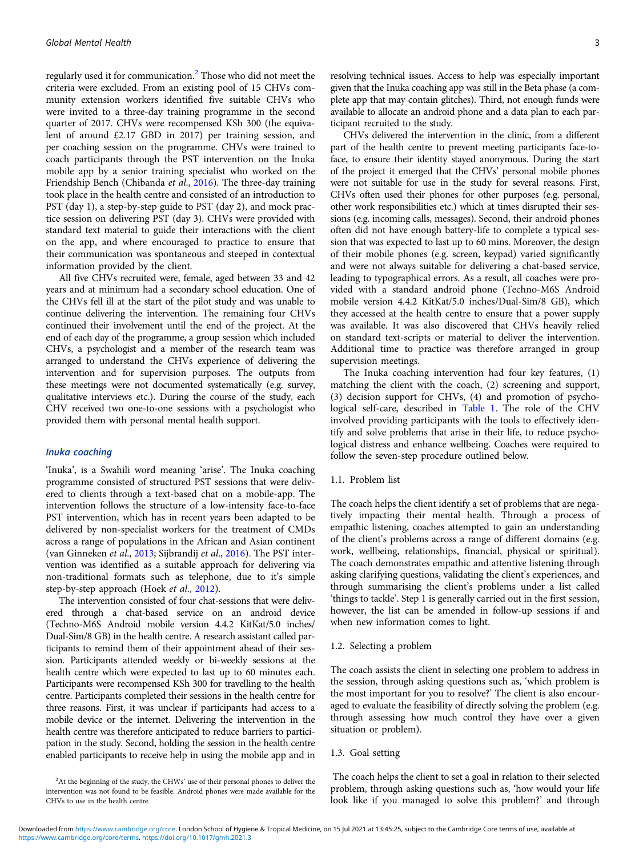regularly used it for communication.<sup>2</sup> Those who did not meet the criteria were excluded. From an existing pool of 15 CHVs community extension workers identified five suitable CHVs who were invited to a three-day training programme in the second quarter of 2017. CHVs were recompensed KSh 300 (the equivalent of around £2.17 GBD in 2017) per training session, and per coaching session on the programme. CHVs were trained to coach participants through the PST intervention on the Inuka mobile app by a senior training specialist who worked on the Friendship Bench (Chibanda et al., [2016\)](#page-9-0). The three-day training took place in the health centre and consisted of an introduction to PST (day 1), a step-by-step guide to PST (day 2), and mock practice session on delivering PST (day 3). CHVs were provided with standard text material to guide their interactions with the client on the app, and where encouraged to practice to ensure that their communication was spontaneous and steeped in contextual information provided by the client.

All five CHVs recruited were, female, aged between 33 and 42 years and at minimum had a secondary school education. One of the CHVs fell ill at the start of the pilot study and was unable to continue delivering the intervention. The remaining four CHVs continued their involvement until the end of the project. At the end of each day of the programme, a group session which included CHVs, a psychologist and a member of the research team was arranged to understand the CHVs experience of delivering the intervention and for supervision purposes. The outputs from these meetings were not documented systematically (e.g. survey, qualitative interviews etc.). During the course of the study, each CHV received two one-to-one sessions with a psychologist who provided them with personal mental health support.

## Inuka coaching

'Inuka', is a Swahili word meaning 'arise'. The Inuka coaching programme consisted of structured PST sessions that were delivered to clients through a text-based chat on a mobile-app. The intervention follows the structure of a low-intensity face-to-face PST intervention, which has in recent years been adapted to be delivered by non-specialist workers for the treatment of CMDs across a range of populations in the African and Asian continent (van Ginneken et al., [2013;](#page-10-0) Sijbrandij et al., [2016](#page-10-0)). The PST intervention was identified as a suitable approach for delivering via non-traditional formats such as telephone, due to it's simple step-by-step approach (Hoek et al., [2012](#page-10-0)).

The intervention consisted of four chat-sessions that were delivered through a chat-based service on an android device (Techno-M6S Android mobile version 4.4.2 KitKat/5.0 inches/ Dual-Sim/8 GB) in the health centre. A research assistant called participants to remind them of their appointment ahead of their session. Participants attended weekly or bi-weekly sessions at the health centre which were expected to last up to 60 minutes each. Participants were recompensed KSh 300 for travelling to the health centre. Participants completed their sessions in the health centre for three reasons. First, it was unclear if participants had access to a mobile device or the internet. Delivering the intervention in the health centre was therefore anticipated to reduce barriers to participation in the study. Second, holding the session in the health centre enabled participants to receive help in using the mobile app and in

resolving technical issues. Access to help was especially important given that the Inuka coaching app was still in the Beta phase (a complete app that may contain glitches). Third, not enough funds were available to allocate an android phone and a data plan to each participant recruited to the study.

CHVs delivered the intervention in the clinic, from a different part of the health centre to prevent meeting participants face-toface, to ensure their identity stayed anonymous. During the start of the project it emerged that the CHVs' personal mobile phones were not suitable for use in the study for several reasons. First, CHVs often used their phones for other purposes (e.g. personal, other work responsibilities etc.) which at times disrupted their sessions (e.g. incoming calls, messages). Second, their android phones often did not have enough battery-life to complete a typical session that was expected to last up to 60 mins. Moreover, the design of their mobile phones (e.g. screen, keypad) varied significantly and were not always suitable for delivering a chat-based service, leading to typographical errors. As a result, all coaches were provided with a standard android phone (Techno-M6S Android mobile version 4.4.2 KitKat/5.0 inches/Dual-Sim/8 GB), which they accessed at the health centre to ensure that a power supply was available. It was also discovered that CHVs heavily relied on standard text-scripts or material to deliver the intervention. Additional time to practice was therefore arranged in group supervision meetings.

The Inuka coaching intervention had four key features, (1) matching the client with the coach, (2) screening and support, (3) decision support for CHVs, (4) and promotion of psychological self-care, described in [Table 1.](#page-3-0) The role of the CHV involved providing participants with the tools to effectively identify and solve problems that arise in their life, to reduce psychological distress and enhance wellbeing. Coaches were required to follow the seven-step procedure outlined below.

## 1.1. Problem list

The coach helps the client identify a set of problems that are negatively impacting their mental health. Through a process of empathic listening, coaches attempted to gain an understanding of the client's problems across a range of different domains (e.g. work, wellbeing, relationships, financial, physical or spiritual). The coach demonstrates empathic and attentive listening through asking clarifying questions, validating the client's experiences, and through summarising the client's problems under a list called 'things to tackle'. Step 1 is generally carried out in the first session, however, the list can be amended in follow-up sessions if and when new information comes to light.

#### 1.2. Selecting a problem

The coach assists the client in selecting one problem to address in the session, through asking questions such as, 'which problem is the most important for you to resolve?' The client is also encouraged to evaluate the feasibility of directly solving the problem (e.g. through assessing how much control they have over a given situation or problem).

## 1.3. Goal setting

The coach helps the client to set a goal in relation to their selected problem, through asking questions such as, 'how would your life look like if you managed to solve this problem?' and through

<sup>&</sup>lt;sup>2</sup>At the beginning of the study, the CHWs' use of their personal phones to deliver the intervention was not found to be feasible. Android phones were made available for the CHVs to use in the health centre.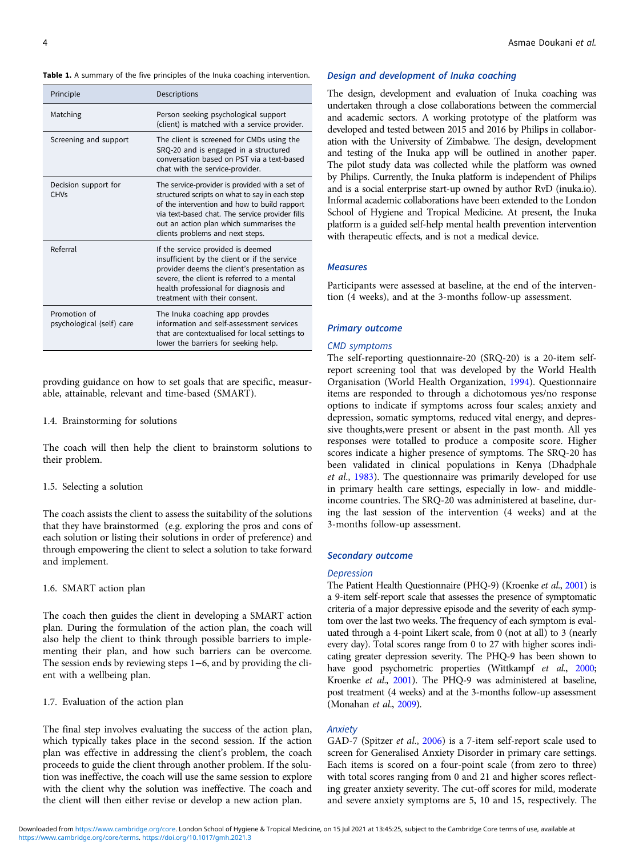#### <span id="page-3-0"></span>Table 1. A summary of the five principles of the Inuka coaching intervention.

| Principle                                 | Descriptions                                                                                                                                                                                                                                                                       |
|-------------------------------------------|------------------------------------------------------------------------------------------------------------------------------------------------------------------------------------------------------------------------------------------------------------------------------------|
| Matching                                  | Person seeking psychological support<br>(client) is matched with a service provider.                                                                                                                                                                                               |
| Screening and support                     | The client is screened for CMDs using the<br>SRQ-20 and is engaged in a structured<br>conversation based on PST via a text-based<br>chat with the service-provider.                                                                                                                |
| Decision support for<br><b>CHVs</b>       | The service-provider is provided with a set of<br>structured scripts on what to say in each step<br>of the intervention and how to build rapport<br>via text-based chat. The service provider fills<br>out an action plan which summarises the<br>clients problems and next steps. |
| Referral                                  | If the service provided is deemed<br>insufficient by the client or if the service<br>provider deems the client's presentation as<br>severe, the client is referred to a mental<br>health professional for diagnosis and<br>treatment with their consent.                           |
| Promotion of<br>psychological (self) care | The Inuka coaching app provdes<br>information and self-assessment services<br>that are contextualised for local settings to<br>lower the barriers for seeking help.                                                                                                                |

provding guidance on how to set goals that are specific, measurable, attainable, relevant and time-based (SMART).

#### 1.4. Brainstorming for solutions

The coach will then help the client to brainstorm solutions to their problem.

#### 1.5. Selecting a solution

The coach assists the client to assess the suitability of the solutions that they have brainstormed (e.g. exploring the pros and cons of each solution or listing their solutions in order of preference) and through empowering the client to select a solution to take forward and implement.

## 1.6. SMART action plan

The coach then guides the client in developing a SMART action plan. During the formulation of the action plan, the coach will also help the client to think through possible barriers to implementing their plan, and how such barriers can be overcome. The session ends by reviewing steps 1−6, and by providing the client with a wellbeing plan.

1.7. Evaluation of the action plan

The final step involves evaluating the success of the action plan, which typically takes place in the second session. If the action plan was effective in addressing the client's problem, the coach proceeds to guide the client through another problem. If the solution was ineffective, the coach will use the same session to explore with the client why the solution was ineffective. The coach and the client will then either revise or develop a new action plan.

#### Design and development of Inuka coaching

The design, development and evaluation of Inuka coaching was undertaken through a close collaborations between the commercial and academic sectors. A working prototype of the platform was developed and tested between 2015 and 2016 by Philips in collaboration with the University of Zimbabwe. The design, development and testing of the Inuka app will be outlined in another paper. The pilot study data was collected while the platform was owned by Philips. Currently, the Inuka platform is independent of Philips and is a social enterprise start-up owned by author RvD (inuka.io). Informal academic collaborations have been extended to the London School of Hygiene and Tropical Medicine. At present, the Inuka platform is a guided self-help mental health prevention intervention with therapeutic effects, and is not a medical device.

## **Measures**

Participants were assessed at baseline, at the end of the intervention (4 weeks), and at the 3-months follow-up assessment.

## Primary outcome

## CMD symptoms

The self-reporting questionnaire-20 (SRQ-20) is a 20-item selfreport screening tool that was developed by the World Health Organisation (World Health Organization, [1994\)](#page-9-0). Questionnaire items are responded to through a dichotomous yes/no response options to indicate if symptoms across four scales; anxiety and depression, somatic symptoms, reduced vital energy, and depressive thoughts,were present or absent in the past month. All yes responses were totalled to produce a composite score. Higher scores indicate a higher presence of symptoms. The SRQ-20 has been validated in clinical populations in Kenya (Dhadphale et al., [1983](#page-9-0)). The questionnaire was primarily developed for use in primary health care settings, especially in low- and middleincome countries. The SRQ-20 was administered at baseline, during the last session of the intervention (4 weeks) and at the 3-months follow-up assessment.

#### Secondary outcome

#### **Depression**

The Patient Health Questionnaire (PHQ-9) (Kroenke et al., [2001](#page-10-0)) is a 9-item self-report scale that assesses the presence of symptomatic criteria of a major depressive episode and the severity of each symptom over the last two weeks. The frequency of each symptom is evaluated through a 4-point Likert scale, from 0 (not at all) to 3 (nearly every day). Total scores range from 0 to 27 with higher scores indicating greater depression severity. The PHQ-9 has been shown to have good psychometric properties (Wittkampf et al., [2000;](#page-10-0) Kroenke et al., [2001\)](#page-10-0). The PHQ-9 was administered at baseline, post treatment (4 weeks) and at the 3-months follow-up assessment (Monahan et al., [2009\)](#page-10-0).

## Anxiety

GAD-7 (Spitzer et al., [2006\)](#page-10-0) is a 7-item self-report scale used to screen for Generalised Anxiety Disorder in primary care settings. Each items is scored on a four-point scale (from zero to three) with total scores ranging from 0 and 21 and higher scores reflecting greater anxiety severity. The cut-off scores for mild, moderate and severe anxiety symptoms are 5, 10 and 15, respectively. The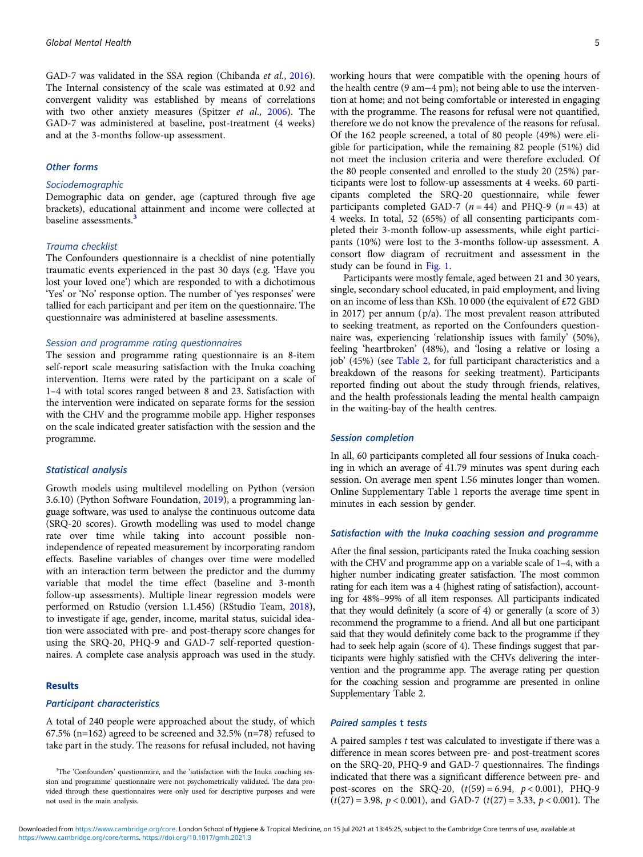GAD-7 was validated in the SSA region (Chibanda et al., [2016\)](#page-9-0). The Internal consistency of the scale was estimated at 0.92 and convergent validity was established by means of correlations with two other anxiety measures (Spitzer et al., [2006](#page-10-0)). The GAD-7 was administered at baseline, post-treatment (4 weeks) and at the 3-months follow-up assessment.

#### Other forms

#### Sociodemographic

Demographic data on gender, age (captured through five age brackets), educational attainment and income were collected at baseline assessments.<sup>3</sup>

## Trauma checklist

The Confounders questionnaire is a checklist of nine potentially traumatic events experienced in the past 30 days (e.g. 'Have you lost your loved one') which are responded to with a dichotimous 'Yes' or 'No' response option. The number of 'yes responses' were tallied for each participant and per item on the questionnaire. The questionnaire was administered at baseline assessments.

## Session and programme rating questionnaires

The session and programme rating questionnaire is an 8-item self-report scale measuring satisfaction with the Inuka coaching intervention. Items were rated by the participant on a scale of 1–4 with total scores ranged between 8 and 23. Satisfaction with the intervention were indicated on separate forms for the session with the CHV and the programme mobile app. Higher responses on the scale indicated greater satisfaction with the session and the programme.

#### Statistical analysis

Growth models using multilevel modelling on Python (version 3.6.10) (Python Software Foundation, [2019\)](#page-10-0), a programming language software, was used to analyse the continuous outcome data (SRQ-20 scores). Growth modelling was used to model change rate over time while taking into account possible nonindependence of repeated measurement by incorporating random effects. Baseline variables of changes over time were modelled with an interaction term between the predictor and the dummy variable that model the time effect (baseline and 3-month follow-up assessments). Multiple linear regression models were performed on Rstudio (version 1.1.456) (RStudio Team, [2018\)](#page-10-0), to investigate if age, gender, income, marital status, suicidal ideation were associated with pre- and post-therapy score changes for using the SRQ-20, PHQ-9 and GAD-7 self-reported questionnaires. A complete case analysis approach was used in the study.

## Results

## Participant characteristics

A total of 240 people were approached about the study, of which 67.5% (n=162) agreed to be screened and 32.5% (n=78) refused to take part in the study. The reasons for refusal included, not having working hours that were compatible with the opening hours of the health centre (9 am−4 pm); not being able to use the intervention at home; and not being comfortable or interested in engaging with the programme. The reasons for refusal were not quantified, therefore we do not know the prevalence of the reasons for refusal. Of the 162 people screened, a total of 80 people (49%) were eligible for participation, while the remaining 82 people (51%) did not meet the inclusion criteria and were therefore excluded. Of the 80 people consented and enrolled to the study 20 (25%) participants were lost to follow-up assessments at 4 weeks. 60 participants completed the SRQ-20 questionnaire, while fewer participants completed GAD-7 ( $n = 44$ ) and PHQ-9 ( $n = 43$ ) at 4 weeks. In total, 52 (65%) of all consenting participants completed their 3-month follow-up assessments, while eight participants (10%) were lost to the 3-months follow-up assessment. A consort flow diagram of recruitment and assessment in the study can be found in [Fig. 1](#page-5-0).

Participants were mostly female, aged between 21 and 30 years, single, secondary school educated, in paid employment, and living on an income of less than KSh. 10 000 (the equivalent of £72 GBD in 2017) per annum (p/a). The most prevalent reason attributed to seeking treatment, as reported on the Confounders questionnaire was, experiencing 'relationship issues with family' (50%), feeling 'heartbroken' (48%), and 'losing a relative or losing a job' (45%) (see [Table 2,](#page-6-0) for full participant characteristics and a breakdown of the reasons for seeking treatment). Participants reported finding out about the study through friends, relatives, and the health professionals leading the mental health campaign in the waiting-bay of the health centres.

#### Session completion

In all, 60 participants completed all four sessions of Inuka coaching in which an average of 41.79 minutes was spent during each session. On average men spent 1.56 minutes longer than women. Online Supplementary Table 1 reports the average time spent in minutes in each session by gender.

## Satisfaction with the Inuka coaching session and programme

After the final session, participants rated the Inuka coaching session with the CHV and programme app on a variable scale of 1–4, with a higher number indicating greater satisfaction. The most common rating for each item was a 4 (highest rating of satisfaction), accounting for 48%–99% of all item responses. All participants indicated that they would definitely (a score of 4) or generally (a score of 3) recommend the programme to a friend. And all but one participant said that they would definitely come back to the programme if they had to seek help again (score of 4). These findings suggest that participants were highly satisfied with the CHVs delivering the intervention and the programme app. The average rating per question for the coaching session and programme are presented in online Supplementary Table 2.

## Paired samples t tests

A paired samples  $t$  test was calculated to investigate if there was a difference in mean scores between pre- and post-treatment scores on the SRQ-20, PHQ-9 and GAD-7 questionnaires. The findings indicated that there was a significant difference between pre- and post-scores on the SRQ-20,  $(t(59) = 6.94, p < 0.001)$ , PHQ-9  $(t(27) = 3.98, p < 0.001)$ , and GAD-7  $(t(27) = 3.33, p < 0.001)$ . The

<sup>&</sup>lt;sup>3</sup>The 'Confounders' questionnaire, and the 'satisfaction with the Inuka coaching session and programme' questionnaire were not psychometrically validated. The data provided through these questionnaires were only used for descriptive purposes and were not used in the main analysis.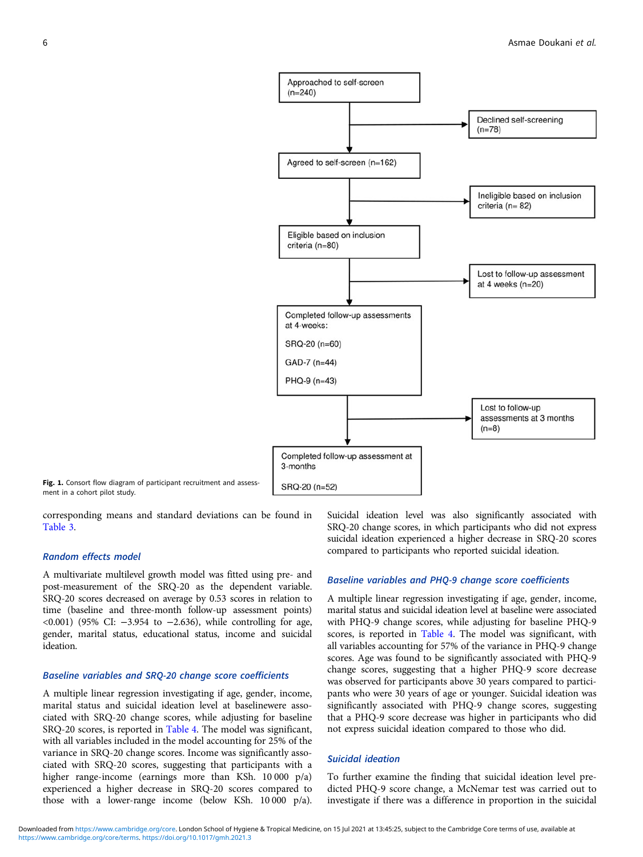<span id="page-5-0"></span>

Fig. 1. Consort flow diagram of participant recruitment and assessment in a cohort pilot study.

corresponding means and standard deviations can be found in [Table 3](#page-7-0).

#### Random effects model

A multivariate multilevel growth model was fitted using pre- and post-measurement of the SRQ-20 as the dependent variable. SRQ-20 scores decreased on average by 0.53 scores in relation to time (baseline and three-month follow-up assessment points) <0.001) (95% CI: −3.954 to −2.636), while controlling for age, gender, marital status, educational status, income and suicidal ideation.

## Baseline variables and SRQ-20 change score coefficients

A multiple linear regression investigating if age, gender, income, marital status and suicidal ideation level at baselinewere associated with SRQ-20 change scores, while adjusting for baseline SRQ-20 scores, is reported in [Table 4](#page-8-0). The model was significant, with all variables included in the model accounting for 25% of the variance in SRQ-20 change scores. Income was significantly associated with SRQ-20 scores, suggesting that participants with a higher range-income (earnings more than KSh. 10 000 p/a) experienced a higher decrease in SRQ-20 scores compared to those with a lower-range income (below KSh. 10 000 p/a). Suicidal ideation level was also significantly associated with SRQ-20 change scores, in which participants who did not express suicidal ideation experienced a higher decrease in SRQ-20 scores compared to participants who reported suicidal ideation.

#### Baseline variables and PHQ-9 change score coefficients

A multiple linear regression investigating if age, gender, income, marital status and suicidal ideation level at baseline were associated with PHQ-9 change scores, while adjusting for baseline PHQ-9 scores, is reported in [Table 4.](#page-8-0) The model was significant, with all variables accounting for 57% of the variance in PHQ-9 change scores. Age was found to be significantly associated with PHQ-9 change scores, suggesting that a higher PHQ-9 score decrease was observed for participants above 30 years compared to participants who were 30 years of age or younger. Suicidal ideation was significantly associated with PHQ-9 change scores, suggesting that a PHQ-9 score decrease was higher in participants who did not express suicidal ideation compared to those who did.

## Suicidal ideation

To further examine the finding that suicidal ideation level predicted PHQ-9 score change, a McNemar test was carried out to investigate if there was a difference in proportion in the suicidal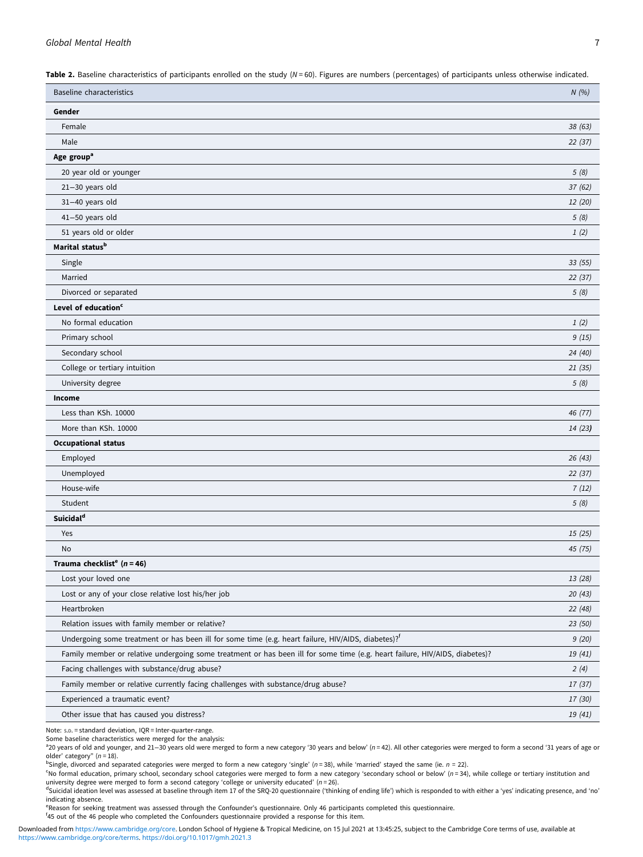<span id="page-6-0"></span>Table 2. Baseline characteristics of participants enrolled on the study  $(N = 60)$ . Figures are numbers (percentages) of participants unless otherwise indicated.

| <b>Baseline characteristics</b>                                                                                             | N(%)    |
|-----------------------------------------------------------------------------------------------------------------------------|---------|
| Gender                                                                                                                      |         |
| Female                                                                                                                      | 38(63)  |
| Male                                                                                                                        | 22(37)  |
| Age group <sup>a</sup>                                                                                                      |         |
| 20 year old or younger                                                                                                      | 5(8)    |
| 21-30 years old                                                                                                             | 37(62)  |
| 31-40 years old                                                                                                             | 12(20)  |
| 41-50 years old                                                                                                             | 5(8)    |
| 51 years old or older                                                                                                       | 1(2)    |
| Marital status <sup>b</sup>                                                                                                 |         |
| Single                                                                                                                      | 33(55)  |
| Married                                                                                                                     | 22 (37) |
| Divorced or separated                                                                                                       | 5(8)    |
| Level of education <sup>c</sup>                                                                                             |         |
| No formal education                                                                                                         | 1(2)    |
| Primary school                                                                                                              | 9(15)   |
| Secondary school                                                                                                            | 24 (40) |
| College or tertiary intuition                                                                                               | 21 (35) |
| University degree                                                                                                           | 5(8)    |
| Income                                                                                                                      |         |
| Less than KSh. 10000                                                                                                        | 46 (77) |
| More than KSh. 10000                                                                                                        | 14(23)  |
| <b>Occupational status</b>                                                                                                  |         |
| Employed                                                                                                                    | 26(43)  |
| Unemployed                                                                                                                  | 22(37)  |
| House-wife                                                                                                                  | 7(12)   |
| Student                                                                                                                     | 5(8)    |
| Suicidal <sup>d</sup>                                                                                                       |         |
| Yes                                                                                                                         | 15(25)  |
| No                                                                                                                          | 45 (75) |
| Trauma checklist <sup>e</sup> ( $n = 46$ )                                                                                  |         |
| Lost your loved one                                                                                                         | 13 (28) |
| Lost or any of your close relative lost his/her job                                                                         | 20(43)  |
| Heartbroken                                                                                                                 | 22 (48) |
| Relation issues with family member or relative?                                                                             | 23 (50) |
| Undergoing some treatment or has been ill for some time (e.g. heart failure, HIV/AIDS, diabetes)? <sup>f</sup>              | 9(20)   |
| Family member or relative undergoing some treatment or has been ill for some time (e.g. heart failure, HIV/AIDS, diabetes)? | 19 (41) |
| Facing challenges with substance/drug abuse?                                                                                | 2(4)    |
| Family member or relative currently facing challenges with substance/drug abuse?                                            | 17 (37) |
| Experienced a traumatic event?                                                                                              | 17 (30) |
| Other issue that has caused you distress?                                                                                   | 19 (41) |

Note: S.D. = standard deviation, IQR = Inter-quarter-range.

Some baseline characteristics were merged for the analysis:

a<br>20 years of old and younger, and 21–30 years old were merged to form a new category '30 years and below' (n=42). All other categories were merged to form a second '31 years of age or older' category"  $(n = 18)$ .

 $b$ Single, divorced and separated categories were merged to form a new category 'single' (n=38), while 'married' stayed the same (ie.  $n = 22$ ).

 $^{\circ}$ No formal education, primary school, secondary school categories were merged to form a new category 'secondary school or below' ( $n = 34$ ), while college or tertiary institution and university degree were merged to form a second category 'college or university educated' ( $n = 26$ ).

dSuicidal ideation level was assessed at baseline through item 17 of the SRQ-20 questionnaire ('thinking of ending life') which is responded to with either a 'yes' indicating presence, and 'no' indicating absence.

e Reason for seeking treatment was assessed through the Confounder's questionnaire. Only 46 participants completed this questionnaire.<br><sup>fan</sup>e ut of the 46 people who completed the Confounders questionnaire previded a respo

45 out of the 46 people who completed the Confounders questionnaire provided a response for this item.

[https://www.cambridge.org/core/terms.](https://www.cambridge.org/core/terms) <https://doi.org/10.1017/gmh.2021.3> Downloaded from [https://www.cambridge.org/core.](https://www.cambridge.org/core) London School of Hygiene & Tropical Medicine, on 15 Jul 2021 at 13:45:25, subject to the Cambridge Core terms of use, available at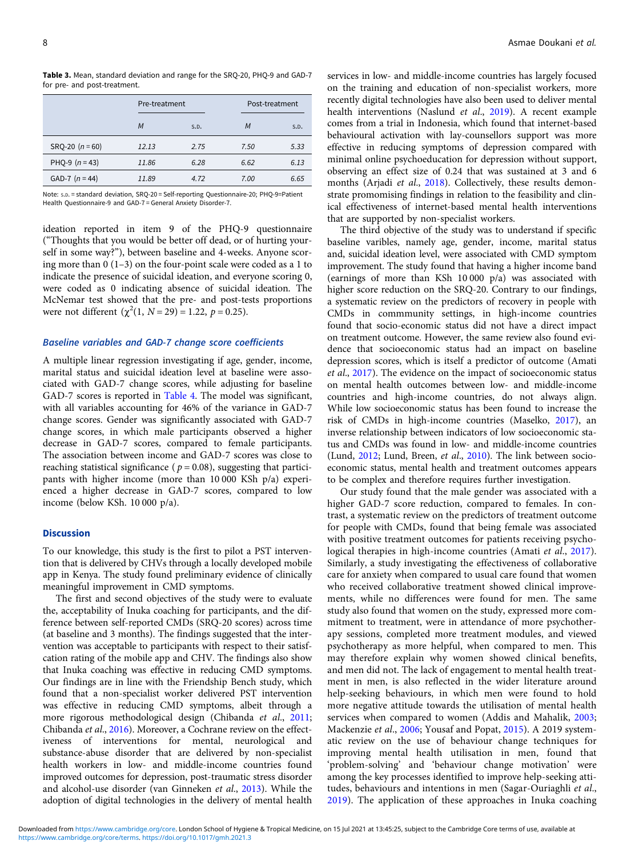<span id="page-7-0"></span>Table 3. Mean, standard deviation and range for the SRO-20, PHO-9 and GAD-7 for pre- and post-treatment.

|                   | Pre-treatment |      |      | Post-treatment |  |
|-------------------|---------------|------|------|----------------|--|
|                   | M             | S.D. | M    | S.D.           |  |
| $SRO-20 (n = 60)$ | 12.13         | 2.75 | 7.50 | 5.33           |  |
| PHQ-9 $(n = 43)$  | 11.86         | 6.28 | 6.62 | 6.13           |  |
| GAD-7 $(n = 44)$  | 11.89         | 4.72 | 7.00 | 6.65           |  |

Note: S.D. = standard deviation, SRQ-20 = Self-reporting Questionnaire-20; PHQ-9=Patient Health Questionnaire-9 and GAD-7 = General Anxiety Disorder-7.

ideation reported in item 9 of the PHQ-9 questionnaire ("Thoughts that you would be better off dead, or of hurting yourself in some way?"), between baseline and 4-weeks. Anyone scoring more than 0 (1–3) on the four-point scale were coded as a 1 to indicate the presence of suicidal ideation, and everyone scoring 0, were coded as 0 indicating absence of suicidal ideation. The McNemar test showed that the pre- and post-tests proportions were not different  $(\chi^2(1, N=29) = 1.22, p = 0.25)$ .

#### Baseline variables and GAD-7 change score coefficients

A multiple linear regression investigating if age, gender, income, marital status and suicidal ideation level at baseline were associated with GAD-7 change scores, while adjusting for baseline GAD-7 scores is reported in [Table 4.](#page-8-0) The model was significant, with all variables accounting for 46% of the variance in GAD-7 change scores. Gender was significantly associated with GAD-7 change scores, in which male participants observed a higher decrease in GAD-7 scores, compared to female participants. The association between income and GAD-7 scores was close to reaching statistical significance ( $p = 0.08$ ), suggesting that participants with higher income (more than 10 000 KSh p/a) experienced a higher decrease in GAD-7 scores, compared to low income (below KSh. 10 000 p/a).

## **Discussion**

To our knowledge, this study is the first to pilot a PST intervention that is delivered by CHVs through a locally developed mobile app in Kenya. The study found preliminary evidence of clinically meaningful improvement in CMD symptoms.

The first and second objectives of the study were to evaluate the, acceptability of Inuka coaching for participants, and the difference between self-reported CMDs (SRQ-20 scores) across time (at baseline and 3 months). The findings suggested that the intervention was acceptable to participants with respect to their satisfcation rating of the mobile app and CHV. The findings also show that Inuka coaching was effective in reducing CMD symptoms. Our findings are in line with the Friendship Bench study, which found that a non-specialist worker delivered PST intervention was effective in reducing CMD symptoms, albeit through a more rigorous methodological design (Chibanda et al., [2011](#page-9-0); Chibanda et al., [2016](#page-9-0)). Moreover, a Cochrane review on the effectiveness of interventions for mental, neurological and substance-abuse disorder that are delivered by non-specialist health workers in low- and middle-income countries found improved outcomes for depression, post-traumatic stress disorder and alcohol-use disorder (van Ginneken et al., [2013](#page-10-0)). While the adoption of digital technologies in the delivery of mental health services in low- and middle-income countries has largely focused on the training and education of non-specialist workers, more recently digital technologies have also been used to deliver mental health interventions (Naslund et al., [2019\)](#page-10-0). A recent example comes from a trial in Indonesia, which found that internet-based behavioural activation with lay-counsellors support was more effective in reducing symptoms of depression compared with minimal online psychoeducation for depression without support, observing an effect size of 0.24 that was sustained at 3 and 6 months (Arjadi et al., [2018\)](#page-9-0). Collectively, these results demonstrate promomising findings in relation to the feasibility and clinical effectiveness of internet-based mental health interventions that are supported by non-specialist workers.

The third objective of the study was to understand if specific baseline varibles, namely age, gender, income, marital status and, suicidal ideation level, were associated with CMD symptom improvement. The study found that having a higher income band (earnings of more than KSh 10 000 p/a) was associated with higher score reduction on the SRQ-20. Contrary to our findings, a systematic review on the predictors of recovery in people with CMDs in commmunity settings, in high-income countries found that socio-economic status did not have a direct impact on treatment outcome. However, the same review also found evidence that socioeconomic status had an impact on baseline depression scores, which is itself a predictor of outcome (Amati et al., [2017\)](#page-9-0). The evidence on the impact of socioeconomic status on mental health outcomes between low- and middle-income countries and high-income countries, do not always align. While low socioeconomic status has been found to increase the risk of CMDs in high-income countries (Maselko, [2017\)](#page-10-0), an inverse relationship between indicators of low socioeconomic status and CMDs was found in low- and middle-income countries (Lund, [2012](#page-10-0); Lund, Breen, et al., [2010\)](#page-10-0). The link between socioeconomic status, mental health and treatment outcomes appears to be complex and therefore requires further investigation.

Our study found that the male gender was associated with a higher GAD-7 score reduction, compared to females. In contrast, a systematic review on the predictors of treatment outcome for people with CMDs, found that being female was associated with positive treatment outcomes for patients receiving psycho-logical therapies in high-income countries (Amati et al., [2017](#page-9-0)). Similarly, a study investigating the effectiveness of collaborative care for anxiety when compared to usual care found that women who received collaborative treatment showed clinical improvements, while no differences were found for men. The same study also found that women on the study, expressed more commitment to treatment, were in attendance of more psychotherapy sessions, completed more treatment modules, and viewed psychotherapy as more helpful, when compared to men. This may therefore explain why women showed clinical benefits, and men did not. The lack of engagement to mental health treatment in men, is also reflected in the wider literature around help-seeking behaviours, in which men were found to hold more negative attitude towards the utilisation of mental health services when compared to women (Addis and Mahalik, [2003;](#page-9-0) Mackenzie et al., [2006](#page-10-0); Yousaf and Popat, [2015](#page-10-0)). A 2019 systematic review on the use of behaviour change techniques for improving mental health utilisation in men, found that 'problem-solving' and 'behaviour change motivation' were among the key processes identified to improve help-seeking attitudes, behaviours and intentions in men (Sagar-Ouriaghli et al., [2019\)](#page-10-0). The application of these approaches in Inuka coaching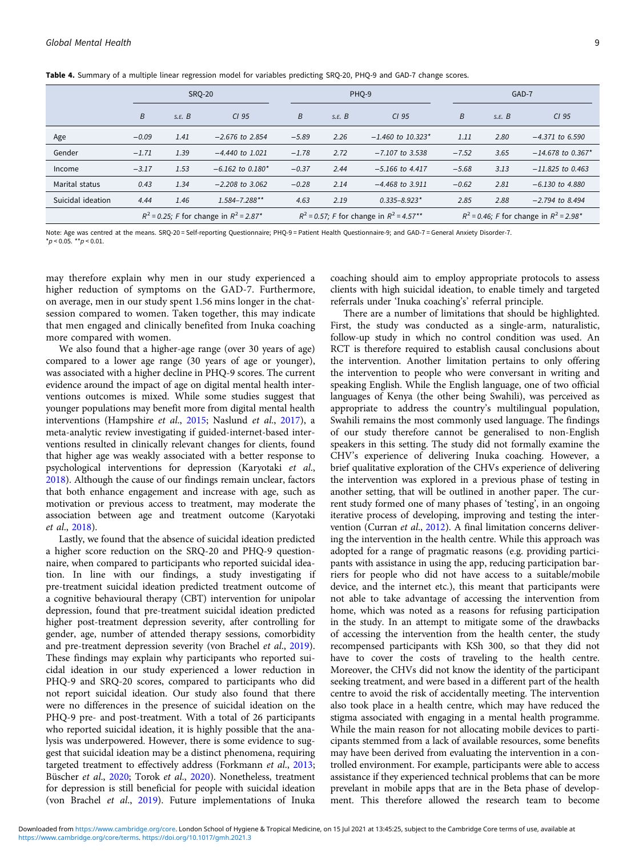<span id="page-8-0"></span>Table 4. Summary of a multiple linear regression model for variables predicting SRO-20, PHO-9 and GAD-7 change scores.

|                   |                                                         | <b>SRO-20</b> |                                |         | PHO-9                                        |                                 |         | GAD-7                                                   |                                 |  |
|-------------------|---------------------------------------------------------|---------------|--------------------------------|---------|----------------------------------------------|---------------------------------|---------|---------------------------------------------------------|---------------------------------|--|
|                   | B                                                       | S.E. B        | CI <sub>95</sub>               | B       | S.E. B                                       | CI <sub>95</sub>                | B       | S.E. B                                                  | CI <sub>95</sub>                |  |
| Age               | $-0.09$                                                 | 1.41          | $-2.676$ to 2.854              | $-5.89$ | 2.26                                         | $-1.460$ to 10.323 <sup>*</sup> | 1.11    | 2.80                                                    | $-4.371$ to 6.590               |  |
| Gender            | $-1.71$                                                 | 1.39          | $-4.440$ to 1.021              | $-1.78$ | 2.72                                         | $-7.107$ to 3.538               | $-7.52$ | 3.65                                                    | $-14.678$ to 0.367 <sup>*</sup> |  |
| Income            | $-3.17$                                                 | 1.53          | $-6.162$ to 0.180 <sup>*</sup> | $-0.37$ | 2.44                                         | $-5.166$ to 4.417               | $-5.68$ | 3.13                                                    | $-11.825$ to 0.463              |  |
| Marital status    | 0.43                                                    | 1.34          | $-2.208$ to 3.062              | $-0.28$ | 2.14                                         | $-4.468$ to 3.911               | $-0.62$ | 2.81                                                    | $-6.130$ to 4.880               |  |
| Suicidal ideation | 4.44                                                    | 1.46          | $1.584 - 7.288$ **             | 4.63    | 2.19                                         | $0.335 - 8.923*$                | 2.85    | 2.88                                                    | $-2.794$ to 8.494               |  |
|                   | $R^2$ = 0.25; F for change in $R^2$ = 2.87 <sup>*</sup> |               |                                |         | $R^2$ = 0.57; F for change in $R^2$ = 4.57** |                                 |         | $R^2$ = 0.46; F for change in $R^2$ = 2.98 <sup>*</sup> |                                 |  |

Note: Age was centred at the means. SRQ-20 = Self-reporting Questionnaire; PHQ-9 = Patient Health Questionnaire-9; and GAD-7 = General Anxiety Disorder-7.  $*n < 0.05$  \*\*p < 0.01

may therefore explain why men in our study experienced a higher reduction of symptoms on the GAD-7. Furthermore, on average, men in our study spent 1.56 mins longer in the chatsession compared to women. Taken together, this may indicate that men engaged and clinically benefited from Inuka coaching more compared with women.

We also found that a higher-age range (over 30 years of age) compared to a lower age range (30 years of age or younger), was associated with a higher decline in PHQ-9 scores. The current evidence around the impact of age on digital mental health interventions outcomes is mixed. While some studies suggest that younger populations may benefit more from digital mental health interventions (Hampshire et al., [2015](#page-10-0); Naslund et al., [2017](#page-10-0)), a meta-analytic review investigating if guided-internet-based interventions resulted in clinically relevant changes for clients, found that higher age was weakly associated with a better response to psychological interventions for depression (Karyotaki et al., [2018\)](#page-10-0). Although the cause of our findings remain unclear, factors that both enhance engagement and increase with age, such as motivation or previous access to treatment, may moderate the association between age and treatment outcome (Karyotaki et al., [2018\)](#page-10-0).

Lastly, we found that the absence of suicidal ideation predicted a higher score reduction on the SRQ-20 and PHQ-9 questionnaire, when compared to participants who reported suicidal ideation. In line with our findings, a study investigating if pre-treatment suicidal ideation predicted treatment outcome of a cognitive behavioural therapy (CBT) intervention for unipolar depression, found that pre-treatment suicidal ideation predicted higher post-treatment depression severity, after controlling for gender, age, number of attended therapy sessions, comorbidity and pre-treatment depression severity (von Brachel et al., [2019\)](#page-10-0). These findings may explain why participants who reported suicidal ideation in our study experienced a lower reduction in PHQ-9 and SRQ-20 scores, compared to participants who did not report suicidal ideation. Our study also found that there were no differences in the presence of suicidal ideation on the PHQ-9 pre- and post-treatment. With a total of 26 participants who reported suicidal ideation, it is highly possible that the analysis was underpowered. However, there is some evidence to suggest that suicidal ideation may be a distinct phenomena, requiring targeted treatment to effectively address (Forkmann et al., [2013;](#page-10-0) Büscher et al., [2020](#page-9-0); Torok et al., [2020\)](#page-10-0). Nonetheless, treatment for depression is still beneficial for people with suicidal ideation (von Brachel et al., [2019](#page-10-0)). Future implementations of Inuka

coaching should aim to employ appropriate protocols to assess clients with high suicidal ideation, to enable timely and targeted referrals under 'Inuka coaching's' referral principle.

There are a number of limitations that should be highlighted. First, the study was conducted as a single-arm, naturalistic, follow-up study in which no control condition was used. An RCT is therefore required to establish causal conclusions about the intervention. Another limitation pertains to only offering the intervention to people who were conversant in writing and speaking English. While the English language, one of two official languages of Kenya (the other being Swahili), was perceived as appropriate to address the country's multilingual population, Swahili remains the most commonly used language. The findings of our study therefore cannot be generalised to non-English speakers in this setting. The study did not formally examine the CHV's experience of delivering Inuka coaching. However, a brief qualitative exploration of the CHVs experience of delivering the intervention was explored in a previous phase of testing in another setting, that will be outlined in another paper. The current study formed one of many phases of 'testing', in an ongoing iterative process of developing, improving and testing the inter-vention (Curran et al., [2012\)](#page-9-0). A final limitation concerns delivering the intervention in the health centre. While this approach was adopted for a range of pragmatic reasons (e.g. providing participants with assistance in using the app, reducing participation barriers for people who did not have access to a suitable/mobile device, and the internet etc.), this meant that participants were not able to take advantage of accessing the intervention from home, which was noted as a reasons for refusing participation in the study. In an attempt to mitigate some of the drawbacks of accessing the intervention from the health center, the study recompensed participants with KSh 300, so that they did not have to cover the costs of traveling to the health centre. Moreover, the CHVs did not know the identity of the participant seeking treatment, and were based in a different part of the health centre to avoid the risk of accidentally meeting. The intervention also took place in a health centre, which may have reduced the stigma associated with engaging in a mental health programme. While the main reason for not allocating mobile devices to participants stemmed from a lack of available resources, some benefits may have been derived from evaluating the intervention in a controlled environment. For example, participants were able to access assistance if they experienced technical problems that can be more prevelant in mobile apps that are in the Beta phase of development. This therefore allowed the research team to become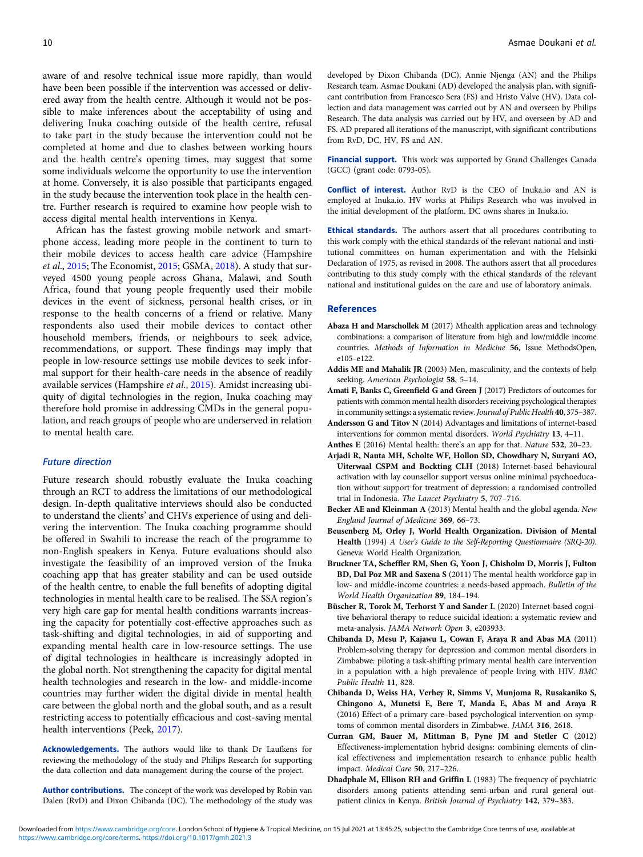<span id="page-9-0"></span>aware of and resolve technical issue more rapidly, than would have been been possible if the intervention was accessed or delivered away from the health centre. Although it would not be possible to make inferences about the acceptability of using and delivering Inuka coaching outside of the health centre, refusal to take part in the study because the intervention could not be completed at home and due to clashes between working hours and the health centre's opening times, may suggest that some some individuals welcome the opportunity to use the intervention at home. Conversely, it is also possible that participants engaged in the study because the intervention took place in the health centre. Further research is required to examine how people wish to access digital mental health interventions in Kenya.

African has the fastest growing mobile network and smartphone access, leading more people in the continent to turn to their mobile devices to access health care advice (Hampshire et al., [2015](#page-10-0); The Economist, [2015;](#page-10-0) GSMA, [2018\)](#page-10-0). A study that surveyed 4500 young people across Ghana, Malawi, and South Africa, found that young people frequently used their mobile devices in the event of sickness, personal health crises, or in response to the health concerns of a friend or relative. Many respondents also used their mobile devices to contact other household members, friends, or neighbours to seek advice, recommendations, or support. These findings may imply that people in low-resource settings use mobile devices to seek informal support for their health-care needs in the absence of readily available services (Hampshire et al., [2015\)](#page-10-0). Amidst increasing ubiquity of digital technologies in the region, Inuka coaching may therefore hold promise in addressing CMDs in the general population, and reach groups of people who are underserved in relation to mental health care.

## Future direction

Future research should robustly evaluate the Inuka coaching through an RCT to address the limitations of our methodological design. In-depth qualitative interviews should also be conducted to understand the clients' and CHVs experience of using and delivering the intervention. The Inuka coaching programme should be offered in Swahili to increase the reach of the programme to non-English speakers in Kenya. Future evaluations should also investigate the feasibility of an improved version of the Inuka coaching app that has greater stability and can be used outside of the health centre, to enable the full benefits of adopting digital technologies in mental health care to be realised. The SSA region's very high care gap for mental health conditions warrants increasing the capacity for potentially cost-effective approaches such as task-shifting and digital technologies, in aid of supporting and expanding mental health care in low-resource settings. The use of digital technologies in healthcare is increasingly adopted in the global north. Not strengthening the capacity for digital mental health technologies and research in the low- and middle-income countries may further widen the digital divide in mental health care between the global north and the global south, and as a result restricting access to potentially efficacious and cost-saving mental health interventions (Peek, [2017\)](#page-10-0).

Acknowledgements. The authors would like to thank Dr Laufkens for reviewing the methodology of the study and Philips Research for supporting the data collection and data management during the course of the project.

Author contributions. The concept of the work was developed by Robin van Dalen (RvD) and Dixon Chibanda (DC). The methodology of the study was developed by Dixon Chibanda (DC), Annie Njenga (AN) and the Philips Research team. Asmae Doukani (AD) developed the analysis plan, with significant contribution from Francesco Sera (FS) and Hristo Valve (HV). Data collection and data management was carried out by AN and overseen by Philips Research. The data analysis was carried out by HV, and overseen by AD and FS. AD prepared all iterations of the manuscript, with significant contributions from RvD, DC, HV, FS and AN.

Financial support. This work was supported by Grand Challenges Canada (GCC) (grant code: 0793-05).

Conflict of interest. Author RvD is the CEO of Inuka.io and AN is employed at Inuka.io. HV works at Philips Research who was involved in the initial development of the platform. DC owns shares in Inuka.io.

Ethical standards. The authors assert that all procedures contributing to this work comply with the ethical standards of the relevant national and institutional committees on human experimentation and with the Helsinki Declaration of 1975, as revised in 2008. The authors assert that all procedures contributing to this study comply with the ethical standards of the relevant national and institutional guides on the care and use of laboratory animals.

#### References

- Abaza H and Marschollek M (2017) Mhealth application areas and technology combinations: a comparison of literature from high and low/middle income countries. Methods of Information in Medicine 56, Issue MethodsOpen, e105–e122.
- Addis ME and Mahalik JR (2003) Men, masculinity, and the contexts of help seeking. American Psychologist 58, 5–14.
- Amati F, Banks C, Greenfield G and Green J (2017) Predictors of outcomes for patients with common mental health disorders receiving psychological therapies in community settings: a systematic review. Journal of Public Health 40, 375–387.
- Andersson G and Titov N (2014) Advantages and limitations of internet-based interventions for common mental disorders. World Psychiatry 13, 4–11.
- Anthes E (2016) Mental health: there's an app for that. Nature 532, 20–23. Arjadi R, Nauta MH, Scholte WF, Hollon SD, Chowdhary N, Suryani AO, Uiterwaal CSPM and Bockting CLH (2018) Internet-based behavioural activation with lay counsellor support versus online minimal psychoeducation without support for treatment of depression: a randomised controlled trial in Indonesia. The Lancet Psychiatry 5, 707–716.
- Becker AE and Kleinman A (2013) Mental health and the global agenda. New England Journal of Medicine 369, 66–73.
- Beusenberg M, Orley J, World Health Organization. Division of Mental Health (1994) A User's Guide to the Self-Reporting Questionnaire (SRQ-20). Geneva: World Health Organization.
- Bruckner TA, Scheffler RM, Shen G, Yoon J, Chisholm D, Morris J, Fulton BD, Dal Poz MR and Saxena S (2011) The mental health workforce gap in low- and middle-income countries: a needs-based approach. Bulletin of the World Health Organization 89, 184–194.
- Büscher R, Torok M, Terhorst Y and Sander L (2020) Internet-based cognitive behavioral therapy to reduce suicidal ideation: a systematic review and meta-analysis. JAMA Network Open 3, e203933.
- Chibanda D, Mesu P, Kajawu L, Cowan F, Araya R and Abas MA (2011) Problem-solving therapy for depression and common mental disorders in Zimbabwe: piloting a task-shifting primary mental health care intervention in a population with a high prevalence of people living with HIV. BMC Public Health 11, 828.
- Chibanda D, Weiss HA, Verhey R, Simms V, Munjoma R, Rusakaniko S, Chingono A, Munetsi E, Bere T, Manda E, Abas M and Araya R (2016) Effect of a primary care–based psychological intervention on symptoms of common mental disorders in Zimbabwe. JAMA 316, 2618.
- Curran GM, Bauer M, Mittman B, Pyne JM and Stetler C (2012) Effectiveness-implementation hybrid designs: combining elements of clinical effectiveness and implementation research to enhance public health impact. Medical Care 50, 217–226.
- Dhadphale M, Ellison RH and Griffin L (1983) The frequency of psychiatric disorders among patients attending semi-urban and rural general outpatient clinics in Kenya. British Journal of Psychiatry 142, 379–383.